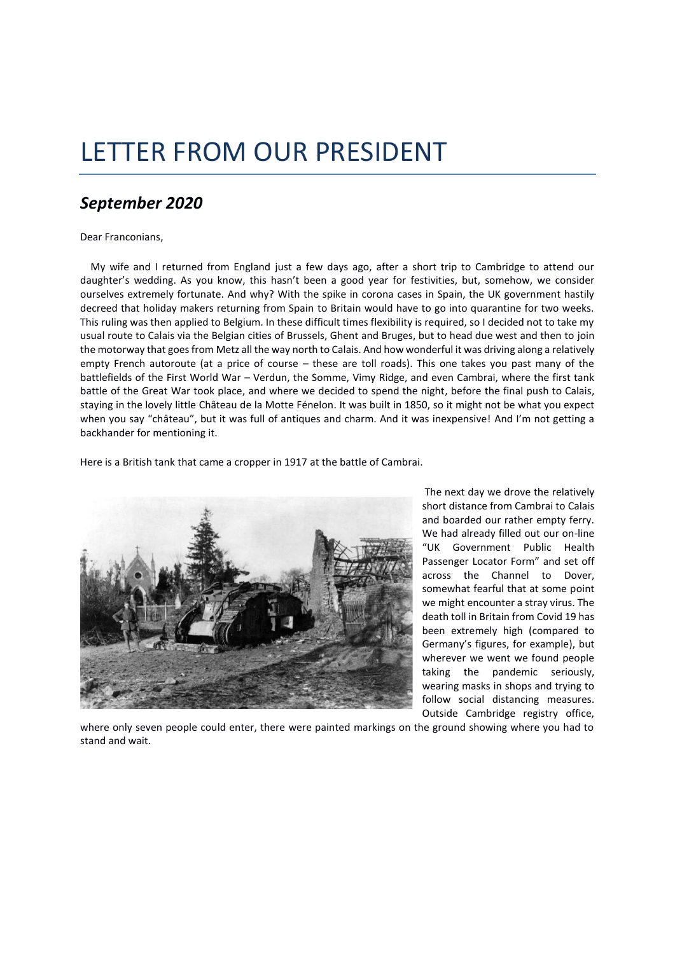## LETTER FROM OUR PRESIDENT

## *September 2020*

## Dear Franconians,

 My wife and I returned from England just a few days ago, after a short trip to Cambridge to attend our daughter's wedding. As you know, this hasn't been a good year for festivities, but, somehow, we consider ourselves extremely fortunate. And why? With the spike in corona cases in Spain, the UK government hastily decreed that holiday makers returning from Spain to Britain would have to go into quarantine for two weeks. This ruling was then applied to Belgium. In these difficult times flexibility is required, so I decided not to take my usual route to Calais via the Belgian cities of Brussels, Ghent and Bruges, but to head due west and then to join the motorway that goes from Metz all the way north to Calais. And how wonderful it was driving along a relatively empty French autoroute (at a price of course – these are toll roads). This one takes you past many of the battlefields of the First World War – Verdun, the Somme, Vimy Ridge, and even Cambrai, where the first tank battle of the Great War took place, and where we decided to spend the night, before the final push to Calais, staying in the lovely little Château de la Motte Fénelon. It was built in 1850, so it might not be what you expect when you say "château", but it was full of antiques and charm. And it was inexpensive! And I'm not getting a backhander for mentioning it.

Here is a British tank that came a cropper in 1917 at the battle of Cambrai.



The next day we drove the relatively short distance from Cambrai to Calais and boarded our rather empty ferry. We had already filled out our on-line "UK Government Public Health Passenger Locator Form" and set off across the Channel to Dover, somewhat fearful that at some point we might encounter a stray virus. The death toll in Britain from Covid 19 has been extremely high (compared to Germany's figures, for example), but wherever we went we found people taking the pandemic seriously, wearing masks in shops and trying to follow social distancing measures. Outside Cambridge registry office,

where only seven people could enter, there were painted markings on the ground showing where you had to stand and wait.